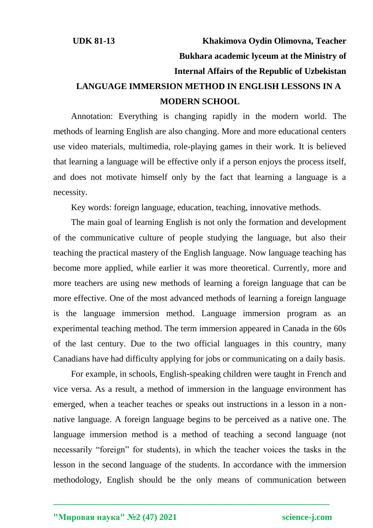## **UDK 81-13 Khakimova Oydin Olimovna, Teacher Bukhara academic lyceum at the Ministry of Internal Affairs of the Republic of Uzbekistan LANGUAGE IMMERSION METHOD IN ENGLISH LESSONS IN A MODERN SCHOOL**

Annotation: Everything is changing rapidly in the modern world. The methods of learning English are also changing. More and more educational centers use video materials, multimedia, role-playing games in their work. It is believed that learning a language will be effective only if a person enjoys the process itself, and does not motivate himself only by the fact that learning a language is a necessity.

Key words: foreign language, education, teaching, innovative methods.

The main goal of learning English is not only the formation and development of the communicative culture of people studying the language, but also their teaching the practical mastery of the English language. Now language teaching has become more applied, while earlier it was more theoretical. Currently, more and more teachers are using new methods of learning a foreign language that can be more effective. One of the most advanced methods of learning a foreign language is the language immersion method. Language immersion program as an experimental teaching method. The term immersion appeared in Canada in the 60s of the last century. Due to the two official languages in this country, many Canadians have had difficulty applying for jobs or communicating on a daily basis.

For example, in schools, English-speaking children were taught in French and vice versa. As a result, a method of immersion in the language environment has emerged, when a teacher teaches or speaks out instructions in a lesson in a nonnative language. A foreign language begins to be perceived as a native one. The language immersion method is a method of teaching a second language (not necessarily "foreign" for students), in which the teacher voices the tasks in the lesson in the second language of the students. In accordance with the immersion methodology, English should be the only means of communication between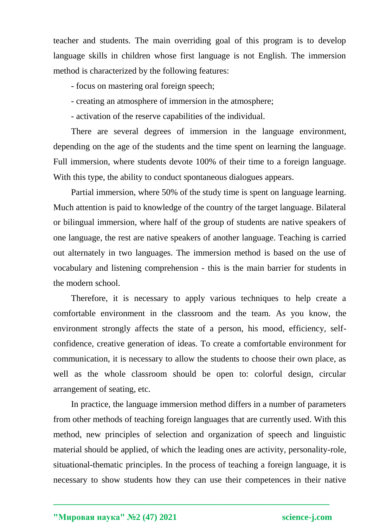teacher and students. The main overriding goal of this program is to develop language skills in children whose first language is not English. The immersion method is characterized by the following features:

- focus on mastering oral foreign speech;

- creating an atmosphere of immersion in the atmosphere;

- activation of the reserve capabilities of the individual.

There are several degrees of immersion in the language environment, depending on the age of the students and the time spent on learning the language. Full immersion, where students devote 100% of their time to a foreign language. With this type, the ability to conduct spontaneous dialogues appears.

Partial immersion, where 50% of the study time is spent on language learning. Much attention is paid to knowledge of the country of the target language. Bilateral or bilingual immersion, where half of the group of students are native speakers of one language, the rest are native speakers of another language. Teaching is carried out alternately in two languages. The immersion method is based on the use of vocabulary and listening comprehension - this is the main barrier for students in the modern school.

Therefore, it is necessary to apply various techniques to help create a comfortable environment in the classroom and the team. As you know, the environment strongly affects the state of a person, his mood, efficiency, selfconfidence, creative generation of ideas. To create a comfortable environment for communication, it is necessary to allow the students to choose their own place, as well as the whole classroom should be open to: colorful design, circular arrangement of seating, etc.

In practice, the language immersion method differs in a number of parameters from other methods of teaching foreign languages that are currently used. With this method, new principles of selection and organization of speech and linguistic material should be applied, of which the leading ones are activity, personality-role, situational-thematic principles. In the process of teaching a foreign language, it is necessary to show students how they can use their competences in their native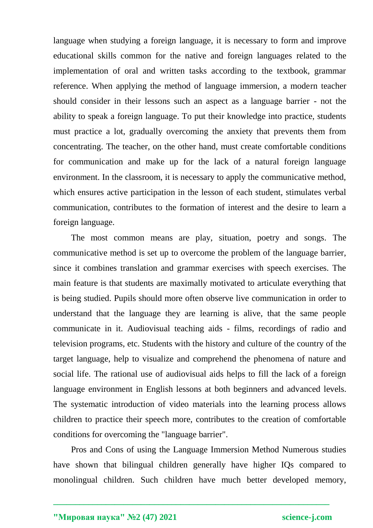language when studying a foreign language, it is necessary to form and improve educational skills common for the native and foreign languages related to the implementation of oral and written tasks according to the textbook, grammar reference. When applying the method of language immersion, a modern teacher should consider in their lessons such an aspect as a language barrier - not the ability to speak a foreign language. To put their knowledge into practice, students must practice a lot, gradually overcoming the anxiety that prevents them from concentrating. The teacher, on the other hand, must create comfortable conditions for communication and make up for the lack of a natural foreign language environment. In the classroom, it is necessary to apply the communicative method, which ensures active participation in the lesson of each student, stimulates verbal communication, contributes to the formation of interest and the desire to learn a foreign language.

The most common means are play, situation, poetry and songs. The communicative method is set up to overcome the problem of the language barrier, since it combines translation and grammar exercises with speech exercises. The main feature is that students are maximally motivated to articulate everything that is being studied. Pupils should more often observe live communication in order to understand that the language they are learning is alive, that the same people communicate in it. Audiovisual teaching aids - films, recordings of radio and television programs, etc. Students with the history and culture of the country of the target language, help to visualize and comprehend the phenomena of nature and social life. The rational use of audiovisual aids helps to fill the lack of a foreign language environment in English lessons at both beginners and advanced levels. The systematic introduction of video materials into the learning process allows children to practice their speech more, contributes to the creation of comfortable conditions for overcoming the "language barrier".

Pros and Cons of using the Language Immersion Method Numerous studies have shown that bilingual children generally have higher IQs compared to monolingual children. Such children have much better developed memory,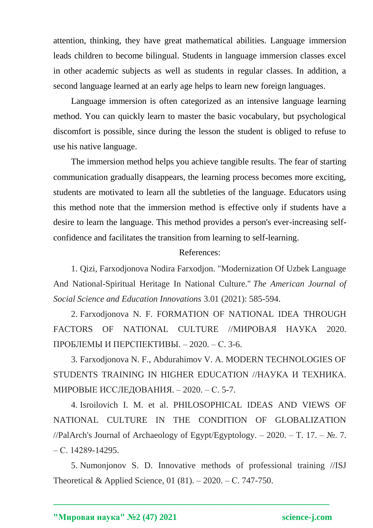attention, thinking, they have great mathematical abilities. Language immersion leads children to become bilingual. Students in language immersion classes excel in other academic subjects as well as students in regular classes. In addition, a second language learned at an early age helps to learn new foreign languages.

Language immersion is often categorized as an intensive language learning method. You can quickly learn to master the basic vocabulary, but psychological discomfort is possible, since during the lesson the student is obliged to refuse to use his native language.

The immersion method helps you achieve tangible results. The fear of starting communication gradually disappears, the learning process becomes more exciting, students are motivated to learn all the subtleties of the language. Educators using this method note that the immersion method is effective only if students have a desire to learn the language. This method provides a person's ever-increasing selfconfidence and facilitates the transition from learning to self-learning.

## References:

1. Qizi, Farxodjonova Nodira Farxodjon. "Modernization Of Uzbek Language And National-Spiritual Heritage In National Culture." *The American Journal of Social Science and Education Innovations* 3.01 (2021): 585-594.

2. Farxodjonova N. F. FORMATION OF NATIONAL IDEA THROUGH FACTORS OF NATIONAL CULTURE //МИРОВАЯ НАУКА 2020. ПРОБЛЕМЫ И ПЕРСПЕКТИВЫ. – 2020. – С. 3-6.

3. Farxodjonova N. F., Abdurahimov V. A. MODERN TECHNOLOGIES OF STUDENTS TRAINING IN HIGHER EDUCATION //НАУКА И ТЕХНИКА. МИРОВЫЕ ИССЛЕДОВАНИЯ. – 2020. – С. 5-7.

4. Isroilovich I. M. et al. PHILOSOPHICAL IDEAS AND VIEWS OF NATIONAL CULTURE IN THE CONDITION OF GLOBALIZATION //PalArch's Journal of Archaeology of Egypt/Egyptology. – 2020. – T. 17. –  $\mathbb{N}_2$ . 7. – С. 14289-14295.

5. Numonjonov S. D. Innovative methods of professional training //ISJ Theoretical & Applied Science, 01 (81). – 2020. – С. 747-750.